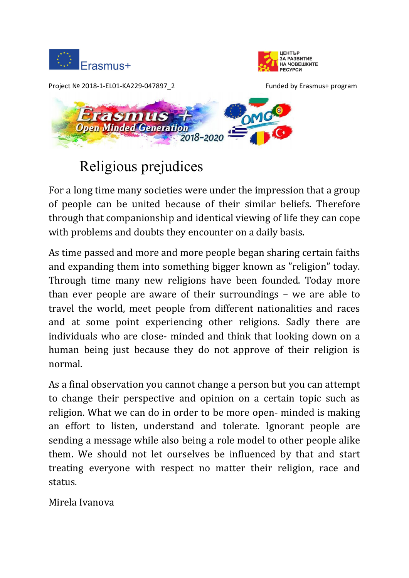





# Religious prejudices

For a long time many societies were under the impression that a group of people can be united because of their similar beliefs. Therefore through that companionship and identical viewing of life they can cope with problems and doubts they encounter on a daily basis.

As time passed and more and more people began sharing certain faiths and expanding them into something bigger known as "religion" today. Through time many new religions have been founded. Today more than ever people are aware of their surroundings – we are able to travel the world, meet people from different nationalities and races and at some point experiencing other religions. Sadly there are individuals who are close- minded and think that looking down on a human being just because they do not approve of their religion is normal.

As a final observation you cannot change a person but you can attempt to change their perspective and opinion on a certain topic such as religion. What we can do in order to be more open- minded is making an effort to listen, understand and tolerate. Ignorant people are sending a message while also being a role model to other people alike them. We should not let ourselves be influenced by that and start treating everyone with respect no matter their religion, race and status.

Mirela Ivanova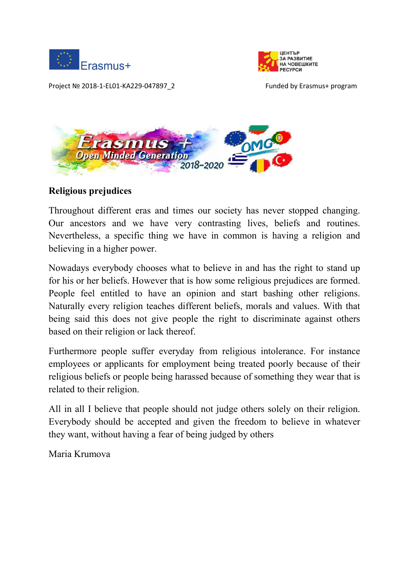





### **Religious prejudices**

Throughout different eras and times our society has never stopped changing. Our ancestors and we have very contrasting lives, beliefs and routines. Nevertheless, a specific thing we have in common is having a religion and believing in a higher power.

Nowadays everybody chooses what to believe in and has the right to stand up for his or her beliefs. However that is how some religious prejudices are formed. People feel entitled to have an opinion and start bashing other religions. Naturally every religion teaches different beliefs, morals and values. With that being said this does not give people the right to discriminate against others based on their religion or lack thereof.

Furthermore people suffer everyday from religious intolerance. For instance employees or applicants for employment being treated poorly because of their religious beliefs or people being harassed because of something they wear that is related to their religion.

All in all I believe that people should not judge others solely on their religion. Everybody should be accepted and given the freedom to believe in whatever they want, without having a fear of being judged by others

Maria Krumova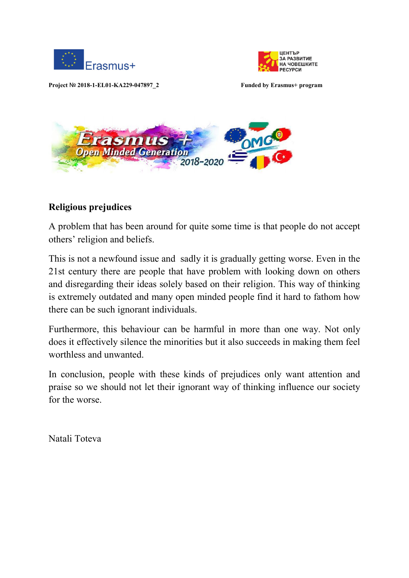





### **Religious prejudices**

A problem that has been around for quite some time is that people do not accept others' religion and beliefs.

This is not a newfound issue and sadly it is gradually getting worse. Even in the 21st century there are people that have problem with looking down on others and disregarding their ideas solely based on their religion. This way of thinking is extremely outdated and many open minded people find it hard to fathom how there can be such ignorant individuals.

Furthermore, this behaviour can be harmful in more than one way. Not only does it effectively silence the minorities but it also succeeds in making them feel worthless and unwanted.

In conclusion, people with these kinds of prejudices only want attention and praise so we should not let their ignorant way of thinking influence our society for the worse.

Natali Toteva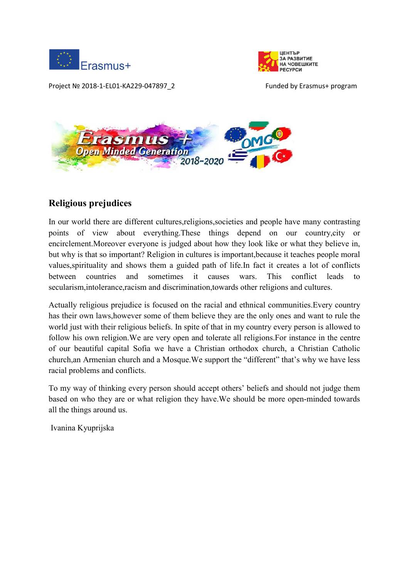





## **Religious prejudices**

In our world there are different cultures,religions,societies and people have many contrasting points of view about everything.These things depend on our country,city or encirclement.Moreover everyone is judged about how they look like or what they believe in, but why is that so important? Religion in cultures is important,because it teaches people moral values,spirituality and shows them a guided path of life.In fact it creates a lot of conflicts between countries and sometimes it causes wars. This conflict leads to secularism,intolerance,racism and discrimination,towards other religions and cultures.

Actually religious prejudice is focused on the racial and ethnical communities.Every country has their own laws,however some of them believe they are the only ones and want to rule the world just with their religious beliefs. In spite of that in my country every person is allowed to follow his own religion.We are very open and tolerate all religions.For instance in the centre of our beautiful capital Sofia we have a Christian orthodox church, a Christian Catholic church,an Armenian church and a Mosque.We support the "different" that's why we have less racial problems and conflicts.

To my way of thinking every person should accept others' beliefs and should not judge them based on who they are or what religion they have.We should be more open-minded towards all the things around us.

Ivanina Kyuprijska